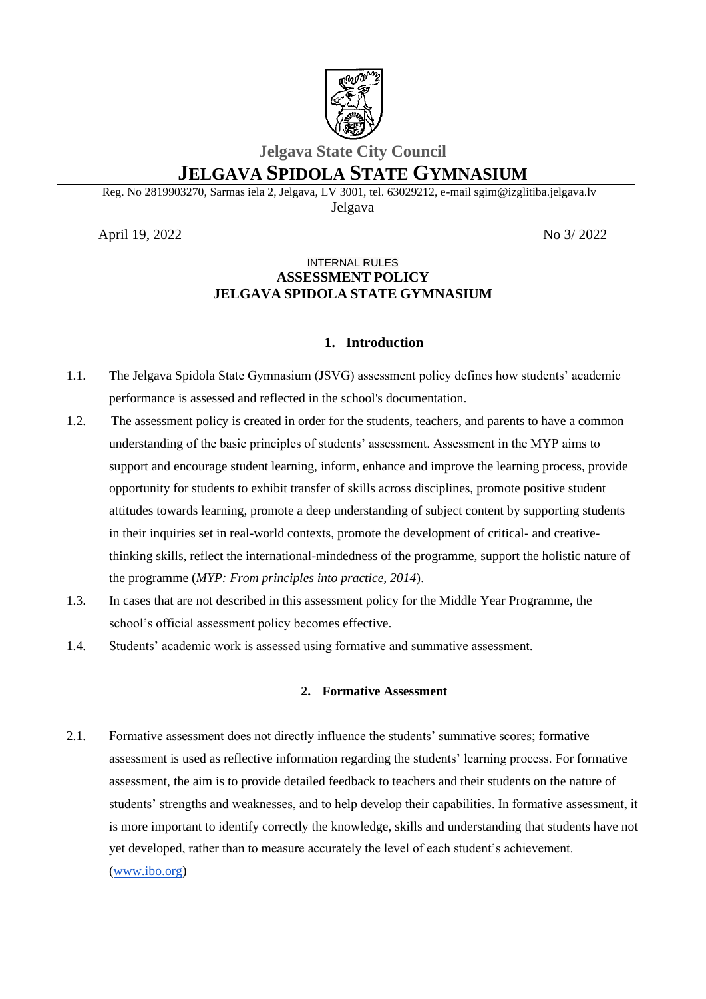

## **Jelgava State City Council**

# **JELGAVA SPIDOLA STATE GYMNASIUM**

Reg. No 2819903270, Sarmas iela 2, Jelgava, LV 3001, tel. 63029212, e-mail sgim@izglitiba.jelgava.lv Jelgava

April 19, 2022 No 3/ 2022

## INTERNAL RULES **ASSESSMENT POLICY JELGAVA SPIDOLA STATE GYMNASIUM**

## **1. Introduction**

- 1.1. The Jelgava Spidola State Gymnasium (JSVG) assessment policy defines how students' academic performance is assessed and reflected in the school's documentation.
- 1.2. The assessment policy is created in order for the students, teachers, and parents to have a common understanding of the basic principles of students' assessment. Assessment in the MYP aims to support and encourage student learning, inform, enhance and improve the learning process, provide opportunity for students to exhibit transfer of skills across disciplines, promote positive student attitudes towards learning, promote a deep understanding of subject content by supporting students in their inquiries set in real-world contexts, promote the development of critical- and creativethinking skills, reflect the international-mindedness of the programme, support the holistic nature of the programme (*MYP: From principles into practice, 2014*).
- 1.3. In cases that are not described in this assessment policy for the Middle Year Programme, the school's official assessment policy becomes effective.
- 1.4. Students' academic work is assessed using formative and summative assessment.

#### **2. Formative Assessment**

2.1. Formative assessment does not directly influence the students' summative scores; formative assessment is used as reflective information regarding the students' learning process. For formative assessment, the aim is to provide detailed feedback to teachers and their students on the nature of students' strengths and weaknesses, and to help develop their capabilities. In formative assessment, it is more important to identify correctly the knowledge, skills and understanding that students have not yet developed, rather than to measure accurately the level of each student's achievement. [\(www.ibo.org\)](http://www.ibo.org/)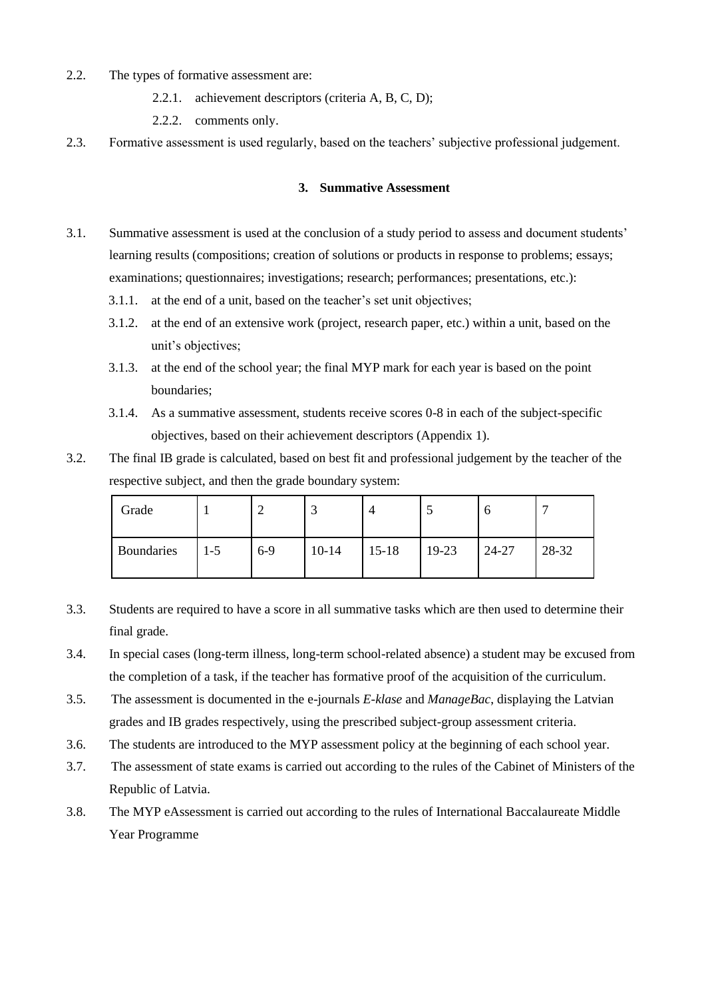- 2.2. The types of formative assessment are:
	- 2.2.1. achievement descriptors (criteria A, B, C, D);
	- 2.2.2. comments only.
- 2.3. Formative assessment is used regularly, based on the teachers' subjective professional judgement.

#### **3. Summative Assessment**

- 3.1. Summative assessment is used at the conclusion of a study period to assess and document students' learning results (compositions; creation of solutions or products in response to problems; essays; examinations; questionnaires; investigations; research; performances; presentations, etc.):
	- 3.1.1. at the end of a unit, based on the teacher's set unit objectives;
	- 3.1.2. at the end of an extensive work (project, research paper, etc.) within a unit, based on the unit's objectives;
	- 3.1.3. at the end of the school year; the final MYP mark for each year is based on the point boundaries;
	- 3.1.4. As a summative assessment, students receive scores 0-8 in each of the subject-specific objectives, based on their achievement descriptors (Appendix 1).
- 3.2. The final IB grade is calculated, based on best fit and professional judgement by the teacher of the respective subject, and then the grade boundary system:

| Grade      |     |       | - 1       | 4         | لمن   | O     |       |
|------------|-----|-------|-----------|-----------|-------|-------|-------|
| Boundaries | l-5 | $6-9$ | $10 - 14$ | $15 - 18$ | 19-23 | 24-27 | 28-32 |

- 3.3. Students are required to have a score in all summative tasks which are then used to determine their final grade.
- 3.4. In special cases (long-term illness, long-term school-related absence) a student may be excused from the completion of a task, if the teacher has formative proof of the acquisition of the curriculum.
- 3.5. The assessment is documented in the e-journals *E-klase* and *ManageBac*, displaying the Latvian grades and IB grades respectively, using the prescribed subject-group assessment criteria.
- 3.6. The students are introduced to the MYP assessment policy at the beginning of each school year.
- 3.7. The assessment of state exams is carried out according to the rules of the Cabinet of Ministers of the Republic of Latvia.
- 3.8. The MYP eAssessment is carried out according to the rules of International Baccalaureate Middle Year Programme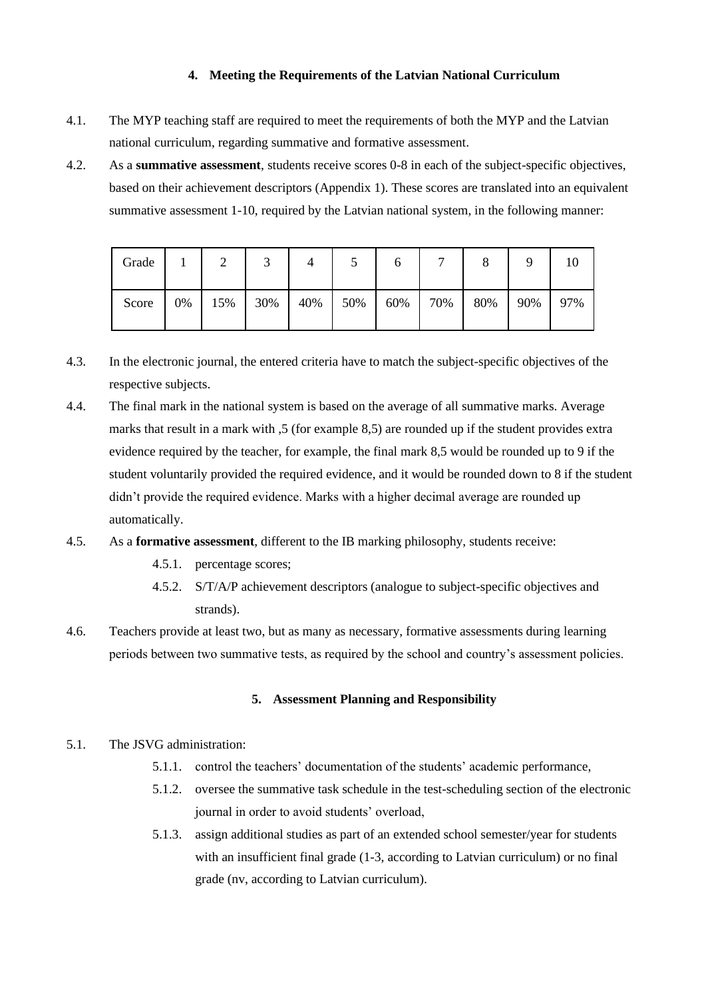### **4. Meeting the Requirements of the Latvian National Curriculum**

- 4.1. The MYP teaching staff are required to meet the requirements of both the MYP and the Latvian national curriculum, regarding summative and formative assessment.
- 4.2. As a **summative assessment**, students receive scores 0-8 in each of the subject-specific objectives, based on their achievement descriptors (Appendix 1). These scores are translated into an equivalent summative assessment 1-10, required by the Latvian national system, in the following manner:

| Grade |    | ∸   | ◡   |     | ັ   | O   | $\overline{ }$ | O   |     | 10  |
|-------|----|-----|-----|-----|-----|-----|----------------|-----|-----|-----|
| Score | 0% | 15% | 30% | 40% | 50% | 60% | 70%            | 80% | 90% | 97% |

- 4.3. In the electronic journal, the entered criteria have to match the subject-specific objectives of the respective subjects.
- 4.4. The final mark in the national system is based on the average of all summative marks. Average marks that result in a mark with ,5 (for example 8,5) are rounded up if the student provides extra evidence required by the teacher, for example, the final mark 8,5 would be rounded up to 9 if the student voluntarily provided the required evidence, and it would be rounded down to 8 if the student didn't provide the required evidence. Marks with a higher decimal average are rounded up automatically.
- 4.5. As a **formative assessment**, different to the IB marking philosophy, students receive:
	- 4.5.1. percentage scores;
	- 4.5.2. S/T/A/P achievement descriptors (analogue to subject-specific objectives and strands).
- 4.6. Teachers provide at least two, but as many as necessary, formative assessments during learning periods between two summative tests, as required by the school and country's assessment policies.

### **5. Assessment Planning and Responsibility**

- 5.1. The JSVG administration:
	- 5.1.1. control the teachers' documentation of the students' academic performance,
	- 5.1.2. oversee the summative task schedule in the test-scheduling section of the electronic journal in order to avoid students' overload,
	- 5.1.3. assign additional studies as part of an extended school semester/year for students with an insufficient final grade (1-3, according to Latvian curriculum) or no final grade (nv, according to Latvian curriculum).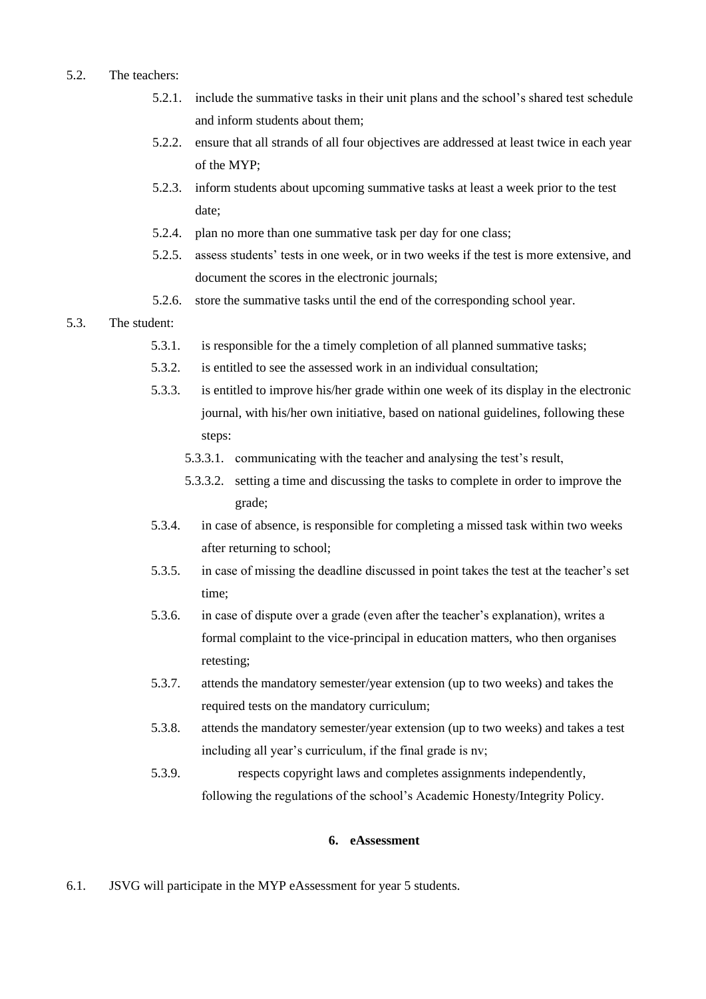### 5.2. The teachers:

- 5.2.1. include the summative tasks in their unit plans and the school's shared test schedule and inform students about them;
- 5.2.2. ensure that all strands of all four objectives are addressed at least twice in each year of the MYP;
- 5.2.3. inform students about upcoming summative tasks at least a week prior to the test date;
- 5.2.4. plan no more than one summative task per day for one class;
- 5.2.5. assess students' tests in one week, or in two weeks if the test is more extensive, and document the scores in the electronic journals;
- 5.2.6. store the summative tasks until the end of the corresponding school year.

### 5.3. The student:

- 5.3.1. is responsible for the a timely completion of all planned summative tasks;
- 5.3.2. is entitled to see the assessed work in an individual consultation;
- 5.3.3. is entitled to improve his/her grade within one week of its display in the electronic journal, with his/her own initiative, based on national guidelines, following these steps:
	- 5.3.3.1. communicating with the teacher and analysing the test's result,
	- 5.3.3.2. setting a time and discussing the tasks to complete in order to improve the grade;
- 5.3.4. in case of absence, is responsible for completing a missed task within two weeks after returning to school;
- 5.3.5. in case of missing the deadline discussed in point takes the test at the teacher's set time;
- 5.3.6. in case of dispute over a grade (even after the teacher's explanation), writes a formal complaint to the vice-principal in education matters, who then organises retesting;
- 5.3.7. attends the mandatory semester/year extension (up to two weeks) and takes the required tests on the mandatory curriculum;
- 5.3.8. attends the mandatory semester/year extension (up to two weeks) and takes a test including all year's curriculum, if the final grade is nv;
- 5.3.9. respects copyright laws and completes assignments independently, following the regulations of the school's Academic Honesty/Integrity Policy.

#### **6. eAssessment**

6.1. JSVG will participate in the MYP eAssessment for year 5 students.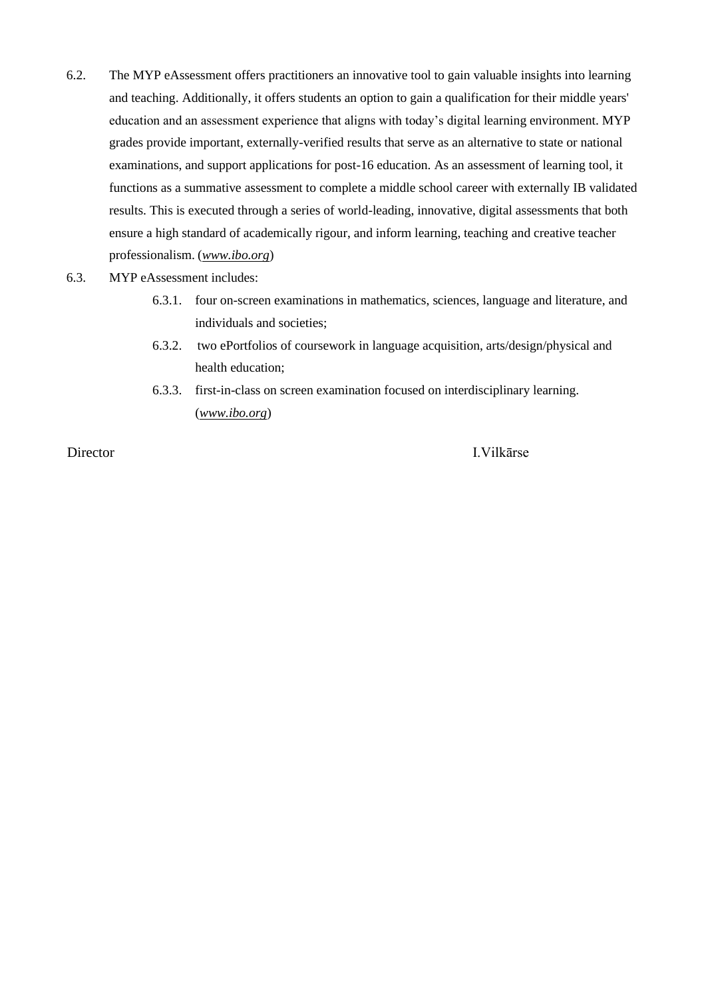6.2. The MYP eAssessment offers practitioners an innovative tool to gain valuable insights into learning and teaching. Additionally, it offers students an option to gain a qualification for their middle years' education and an assessment experience that aligns with today's digital learning environment. MYP grades provide important, externally-verified results that serve as an alternative to state or national examinations, and support applications for post-16 education. As an assessment of learning tool, it functions as a summative assessment to complete a middle school career with externally IB validated results. This is executed through a series of world-leading, innovative, digital assessments that both ensure a high standard of academically rigour, and inform learning, teaching and creative teacher professionalism. (*[www.ibo.org](http://www.ibo.org/)*)

#### 6.3. MYP eAssessment includes:

- 6.3.1. four on-screen examinations in mathematics, sciences, language and literature, and individuals and societies;
- 6.3.2. two ePortfolios of coursework in language acquisition, arts/design/physical and health education;
- 6.3.3. first-in-class on screen examination focused on interdisciplinary learning. (*[www.ibo.org](http://www.ibo.org/)*)

Director I.Vilkārse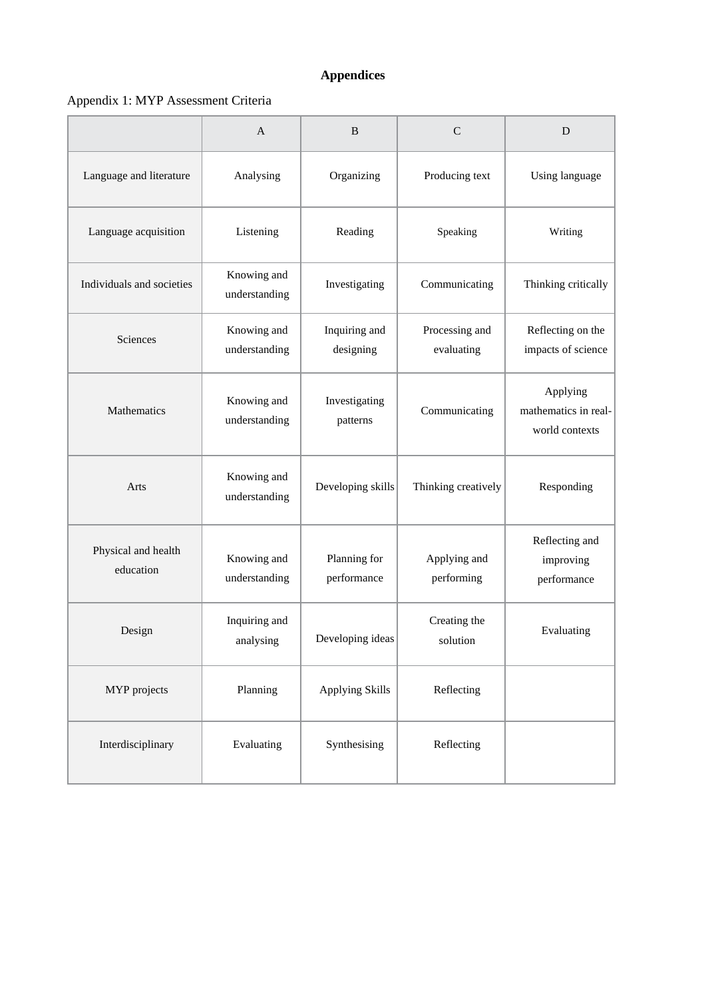# **Appendices**

# Appendix 1: MYP Assessment Criteria

|                                  | $\overline{A}$               | B                           | $\mathcal{C}$                | D                                                  |  |
|----------------------------------|------------------------------|-----------------------------|------------------------------|----------------------------------------------------|--|
| Language and literature          | Analysing                    | Organizing                  | Producing text               | Using language                                     |  |
| Language acquisition             | Listening                    | Reading                     | Speaking                     | Writing                                            |  |
| Individuals and societies        | Knowing and<br>understanding | Investigating               | Communicating                | Thinking critically                                |  |
| Sciences                         | Knowing and<br>understanding | Inquiring and<br>designing  | Processing and<br>evaluating | Reflecting on the<br>impacts of science            |  |
| <b>Mathematics</b>               | Knowing and<br>understanding | Investigating<br>patterns   | Communicating                | Applying<br>mathematics in real-<br>world contexts |  |
| Arts                             | Knowing and<br>understanding | Developing skills           | Thinking creatively          | Responding                                         |  |
| Physical and health<br>education | Knowing and<br>understanding | Planning for<br>performance | Applying and<br>performing   | Reflecting and<br>improving<br>performance         |  |
| Design                           | Inquiring and<br>analysing   | Developing ideas            | Creating the<br>solution     | Evaluating                                         |  |
| MYP projects                     | Planning                     | <b>Applying Skills</b>      | Reflecting                   |                                                    |  |
| Interdisciplinary                | Evaluating                   | Synthesising                | Reflecting                   |                                                    |  |